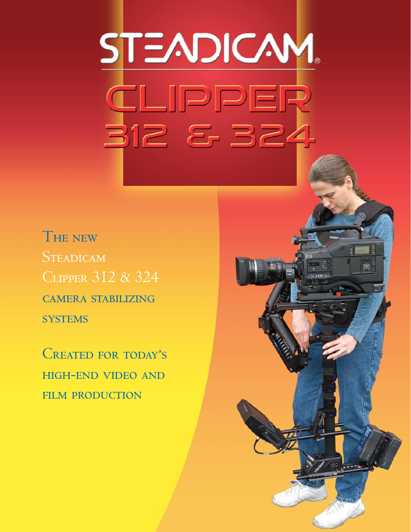# STEADICAM CLIPPER <u>312 & 324</u>

THE NEW **STEADICAM CLIPPER 312 & 324 CAMERA STABILIZING SYSTEMS** 

CREATED FOR TODAY'S **HIGH-END VIDEO AND FILM PRODUCTION** 

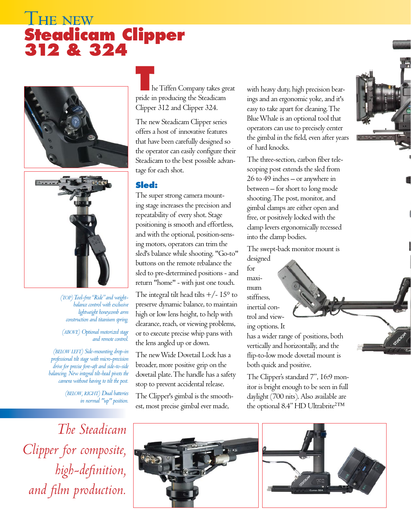# **THE NEW Steadicam Clipper 312 & 324**





*(top) Tool-free "Ride" and weightbalance control with exclusive lightweight honeycomb arm construction and titanium spring.* 

#### *(above) Optional motorized stage and remote control.*

*(below left) Side-mounting drop-in professional tilt stage with micro-precision drive for precise fore-aft and side-to-side balancing. New integral tilt-head pivots the camera without having to tilt the post.*

> *(below, right) Dual batteries in normal "up" position.*

*The Steadicam Clipper for composite, high-definition, and film production.*

**T**he Tiffen Company takes great pride in producing the Steadicam Clipper 312 and Clipper 324.

The new Steadicam Clipper series offers a host of innovative features that have been carefully designed so the operator can easily configure their Steadicam to the best possible advantage for each shot.

# **Sled:**

The super strong camera mounting stage increases the precision and repeatability of every shot. Stage positioning is smooth and effortless, and with the optional, position-sensing motors, operators can trim the sled's balance while shooting. "Go-to" buttons on the remote rebalance the sled to pre-determined positions - and return "home" - with just one touch.

The integral tilt head tilts  $+/- 15^{\circ}$  to preserve dynamic balance, to maintain high or low lens height, to help with clearance, reach, or viewing problems, or to execute precise whip pans with the lens angled up or down.

The new Wide Dovetail Lock has a broader, more positive grip on the dovetail plate. The handle has a safety stop to prevent accidental release.

The Clipper's gimbal is the smoothest, most precise gimbal ever made,



The three-section, carbon fiber telescoping post extends the sled from 26 to 49 inches – or anywhere in between – for short to long mode shooting. The post, monitor, and gimbal clamps are either open and free, or positively locked with the clamp levers ergonomically recessed into the clamp bodies.

The swept-back monitor mount is

designed for maximum stiffness, inertial control and viewing options. It

has a wider range of positions, both vertically and horizontally, and the flip-to-low mode dovetail mount is both quick and positive.

The Clipper's standard 7", 16:9 monitor is bright enough to be seen in full daylight (700 nits). Also available are the optional 8.4" HD Ultrabrite<sup>2TM</sup>





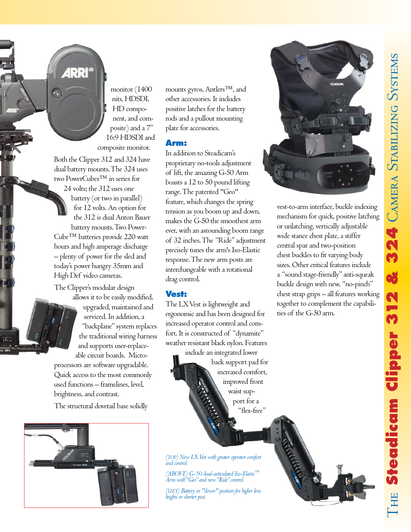

monitor (1400 nits, HDSDI, HD component, and composite) and a 7" 16:9 HDSDI and composite monitor.

Both the Clipper 312 and 324 have dual battery mounts. The 324 uses two PowerCubes™ in series for 24 volts; the 312 uses one battery (or two in parallel) for 12 volts. An option for the 312 is dual Anton Bauer battery mounts. Two Power-Cube™ batteries provide 220 watt hours and high amperage discharge – plenty of power for the sled and today's power hungry 35mm and High Def video cameras.

The Clipper's modular design allows it to be easily modified, upgraded, maintained and serviced. In addition, a "backplane" system replaces the traditional wiring harness and supports user-replaceable circuit boards. Micro-

processors are software upgradable. Quick access to the most commonly used functions – framelines, level, brightness, and contrast.

The structural dovetail base solidly



mounts gyros, Antlers™, and other accessories. It includes positive latches for the battery rods and a pullout mounting plate for accessories.

## **Arm:**

In addition to Steadicam's proprietary no-tools adjustment of lift, the amazing G-50 Arm boasts a 12 to 50 pound lifting range. The patented "Geo" feature, which changes the spring tension as you boom up and down, makes the G-50 the smoothest arm ever, with an astounding boom range of 32 inches. The "Ride" adjustment precisely tunes the arm's Iso-Elastic response. The new arm posts are interchangeable with a rotational drag control.

## **Vest:**

The LX Vest is lightweight and ergonomic and has been designed for increased operator control and comfort. It is constructed of "dynamite" weather resistant black nylon. Features

include an integrated lower back support pad for increased comfort, improved front waist support for a "flex-free"

*(top) New LX Vest with greater operator comfort and control.*

*(ABOVE) G-50 dual-articulated Iso-Elastic™ Arm with "Geo" and new "Ride" control.*

*(left) Battery in "down" position for higher lens heights or shorter post.*



vest-to-arm interface, buckle indexing mechanism for quick, positive latching or unlatching, vertically adjustable wide stance chest plate, a stiffer central spar and two-position chest buckles to fit varying body sizes. Other critical features include a "sound stage-friendly" anti-squeak buckle design with new, "no-pinch" chest strap grips – all features working together to complement the capabilities of the G-50 arm.